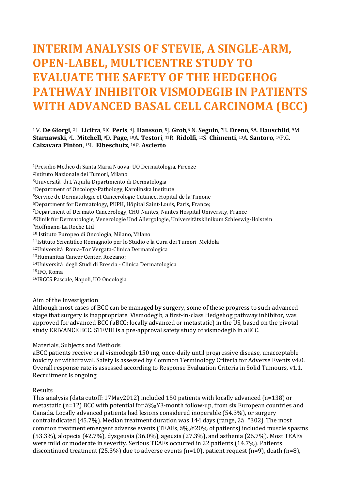# **INTERIM ANALYSIS OF STEVIE, A SINGLE-ARM, OPEN-LABEL, MULTICENTRE STUDY TO EVALUATE THE SAFETY OF THE HEDGEHOG PATHWAY INHIBITOR VISMODEGIB IN PATIENTS WITH ADVANCED BASAL CELL CARCINOMA (BCC)**

<sup>1</sup>V. **De Giorgi**, <sup>2</sup>L. **Licitra**, <sup>3</sup>K. **Peris**, <sup>4</sup>J. **Hansson**, <sup>5</sup>J. **Grob**, <sup>6</sup> N. **Seguin**, <sup>7</sup>B. **Dreno**, <sup>8</sup>A. **Hauschild**, <sup>9</sup>M. **Starnawski**, <sup>9</sup>L. **Mitchell**, <sup>9</sup>D. **Page**, <sup>10</sup>A. **Testori**, <sup>11</sup>R. **Ridolfi**, <sup>12</sup>S. **Chimenti**, <sup>13</sup>A. **Santoro**, <sup>14</sup>P.G. **Calzavara Pinton**, <sup>15</sup>L. **Eibeschutz**, <sup>16</sup>P. **Ascierto** 

Presidio Medico di Santa Maria Nuova- UO Dermatologia, Firenze Istituto Nazionale dei Tumori, Milano Università di L'Aquila-Dipartimento di Dermatologia Department of Oncology-Pathology, Karolinska Institute Service de Dermatologie et Cancerologie Cutanee, Hopital de la Timone Department for Dermatology, PUPH, Höpital Saint-Louis, Paris, France; Department of Dermato Cancerology, CHU Nantes, Nantes Hospital University, France Klinik für Dermatologie, Venerologie Und Allergologie, Universitätsklinikum Schleswig-Holstein Hoffmann-La Roche Ltd Istituto Europeo di Oncologia, Milano, Milano Istituto Scientifico Romagnolo per lo Studio e la Cura dei Tumori Meldola Università Roma-Tor Vergata-Clinica Dermatologica Humanitas Cancer Center, Rozzano; Università degli Studi di Brescia - Clinica Dermatologica IFO, Roma IRCCS Pascale, Napoli, UO Oncologia

### Aim of the Investigation

Although most cases of BCC can be managed by surgery, some of these progress to such advanced stage that surgery is inappropriate. Vismodegib, a first-in-class Hedgehog pathway inhibitor, was approved for advanced BCC (aBCC: locally advanced or metastatic) in the US, based on the pivotal study ERIVANCE BCC. STEVIE is a pre-approval safety study of vismodegib in aBCC.

#### Materials, Subjects and Methods

aBCC patients receive oral vismodegib 150 mg, once-daily until progressive disease, unacceptable toxicity or withdrawal. Safety is assessed by Common Terminology Criteria for Adverse Events v4.0. Overall response rate is assessed according to Response Evaluation Criteria in Solid Tumours, v1.1. Recruitment is ongoing.

#### Results

This analysis (data cutoff: 17May2012) included 150 patients with locally advanced (n=138) or metastatic (n=12) BCC with potential for  $\frac{3\%}{8}$ -month follow-up, from six European countries and Canada. Locally advanced patients had lesions considered inoperable (54.3%), or surgery contraindicated (45.7%). Median treatment duration was 144 days (range, 2â "302). The most common treatment emergent adverse events (TEAEs,  $\frac{3\%}{20\%}$  of patients) included muscle spasms (53.3%), alopecia (42.7%), dysgeusia (36.0%), ageusia (27.3%), and asthenia (26.7%). Most TEAEs were mild or moderate in severity. Serious TEAEs occurred in 22 patients (14.7%). Patients discontinued treatment (25.3%) due to adverse events (n=10), patient request (n=9), death (n=8),